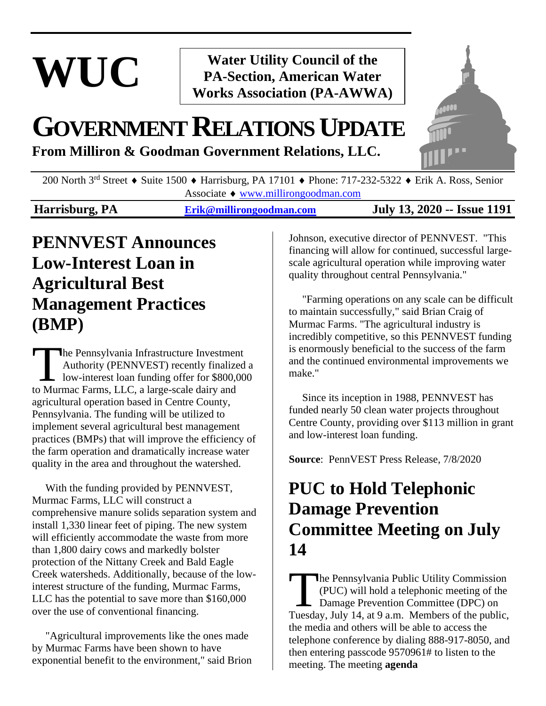# **WUC**

**Water Utility Council of the PA-Section, American Water Works Association (PA-AWWA)**

## **GOVERNMENTRELATIONSUPDATE**

**From Milliron & Goodman Government Relations, LLC.**



200 North 3<sup>rd</sup> Street • Suite 1500 • Harrisburg, PA 17101 • Phone: 717-232-5322 • Erik A. Ross, Senior Associate [www.millirongoodman.com](http://www.millirongoodman.com/)

**Harrisburg, PA [Erik@millirongoodman.com](mailto:Erik@millirongoodman.com) July 13, 2020 -- Issue 1191**

## **PENNVEST Announces Low-Interest Loan in Agricultural Best Management Practices (BMP)**

he Pennsylvania Infrastructure Investment Authority (PENNVEST) recently finalized a low-interest loan funding offer for \$800,000 The Pennsylvania Infrastructure Investment<br>Authority (PENNVEST) recently finalize<br>low-interest loan funding offer for \$800,000<br>to Murmac Farms, LLC, a large-scale dairy and agricultural operation based in Centre County, Pennsylvania. The funding will be utilized to implement several agricultural best management practices (BMPs) that will improve the efficiency of the farm operation and dramatically increase water quality in the area and throughout the watershed.

 With the funding provided by PENNVEST, Murmac Farms, LLC will construct a comprehensive manure solids separation system and install 1,330 linear feet of piping. The new system will efficiently accommodate the waste from more than 1,800 dairy cows and markedly bolster protection of the Nittany Creek and Bald Eagle Creek watersheds. Additionally, because of the lowinterest structure of the funding, Murmac Farms, LLC has the potential to save more than \$160,000 over the use of conventional financing.

 "Agricultural improvements like the ones made by Murmac Farms have been shown to have exponential benefit to the environment," said Brion Johnson, executive director of PENNVEST. "This financing will allow for continued, successful largescale agricultural operation while improving water quality throughout central Pennsylvania."

 "Farming operations on any scale can be difficult to maintain successfully," said Brian Craig of Murmac Farms. "The agricultural industry is incredibly competitive, so this PENNVEST funding is enormously beneficial to the success of the farm and the continued environmental improvements we make."

 Since its inception in 1988, PENNVEST has funded nearly 50 clean water projects throughout Centre County, providing over \$113 million in grant and low-interest loan funding.

**Source**: PennVEST Press Release, 7/8/2020

## **PUC to Hold Telephonic Damage Prevention Committee Meeting on July 14**

he Pennsylvania Public Utility Commission (PUC) will hold a telephonic meeting of the Damage Prevention Committee (DPC) on The Pennsylvania Public Utility Commission<br>
(PUC) will hold a telephonic meeting of the<br>
Damage Prevention Committee (DPC) on<br>
Tuesday, July 14, at 9 a.m. Members of the public, the media and others will be able to access the telephone conference by dialing 888-917-8050, and then entering passcode 9570961# to listen to the meeting. The meeting **agenda**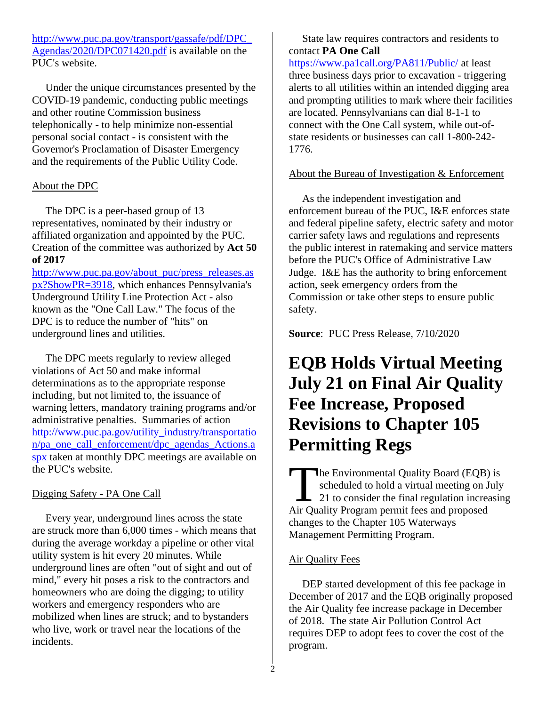[http://www.puc.pa.gov/transport/gassafe/pdf/DPC\\_](http://www.puc.pa.gov/transport/gassafe/pdf/DPC_Agendas/2020/DPC071420.pdf) [Agendas/2020/DPC071420.pdf](http://www.puc.pa.gov/transport/gassafe/pdf/DPC_Agendas/2020/DPC071420.pdf) is available on the PUC's website.

 Under the unique circumstances presented by the COVID-19 pandemic, conducting public meetings and other routine Commission business telephonically - to help minimize non-essential personal social contact - is consistent with the Governor's Proclamation of Disaster Emergency and the requirements of the Public Utility Code.

#### About the DPC

 The DPC is a peer-based group of 13 representatives, nominated by their industry or affiliated organization and appointed by the PUC. Creation of the committee was authorized by **Act 50 of 2017**

[http://www.puc.pa.gov/about\\_puc/press\\_releases.as](http://www.puc.pa.gov/about_puc/press_releases.aspx?ShowPR=3918) [px?ShowPR=3918,](http://www.puc.pa.gov/about_puc/press_releases.aspx?ShowPR=3918) which enhances Pennsylvania's Underground Utility Line Protection Act - also known as the "One Call Law." The focus of the DPC is to reduce the number of "hits" on underground lines and utilities.

 The DPC meets regularly to review alleged violations of Act 50 and make informal determinations as to the appropriate response including, but not limited to, the issuance of warning letters, mandatory training programs and/or administrative penalties. Summaries of action [http://www.puc.pa.gov/utility\\_industry/transportatio](http://www.puc.pa.gov/utility_industry/transportation/pa_one_call_enforcement/dpc_agendas_Actions.aspx) [n/pa\\_one\\_call\\_enforcement/dpc\\_agendas\\_Actions.a](http://www.puc.pa.gov/utility_industry/transportation/pa_one_call_enforcement/dpc_agendas_Actions.aspx) [spx](http://www.puc.pa.gov/utility_industry/transportation/pa_one_call_enforcement/dpc_agendas_Actions.aspx) taken at monthly DPC meetings are available on the PUC's website.

#### Digging Safety - PA One Call

 Every year, underground lines across the state are struck more than 6,000 times - which means that during the average workday a pipeline or other vital utility system is hit every 20 minutes. While underground lines are often "out of sight and out of mind," every hit poses a risk to the contractors and homeowners who are doing the digging; to utility workers and emergency responders who are mobilized when lines are struck; and to bystanders who live, work or travel near the locations of the incidents.

 State law requires contractors and residents to contact **PA One Call** <https://www.pa1call.org/PA811/Public/> at least three business days prior to excavation - triggering alerts to all utilities within an intended digging area and prompting utilities to mark where their facilities are located. Pennsylvanians can dial 8-1-1 to connect with the One Call system, while out-ofstate residents or businesses can call 1-800-242- 1776.

#### About the Bureau of Investigation & Enforcement

 As the independent investigation and enforcement bureau of the PUC, I&E enforces state and federal pipeline safety, electric safety and motor carrier safety laws and regulations and represents the public interest in ratemaking and service matters before the PUC's Office of Administrative Law Judge. I&E has the authority to bring enforcement action, seek emergency orders from the Commission or take other steps to ensure public safety.

**Source**: PUC Press Release, 7/10/2020

## **EQB Holds Virtual Meeting July 21 on Final Air Quality Fee Increase, Proposed Revisions to Chapter 105 Permitting Regs**

he Environmental Quality Board (EQB) is scheduled to hold a virtual meeting on July 21 to consider the final regulation increasing The Environmental Quality Board (EQB)<br>scheduled to hold a virtual meeting on J<br>21 to consider the final regulation increases<br>Air Quality Program permit fees and proposed changes to the Chapter 105 Waterways Management Permitting Program.

#### Air Quality Fees

 DEP started development of this fee package in December of 2017 and the EQB originally proposed the Air Quality fee increase package in December of 2018. The state Air Pollution Control Act requires DEP to adopt fees to cover the cost of the program.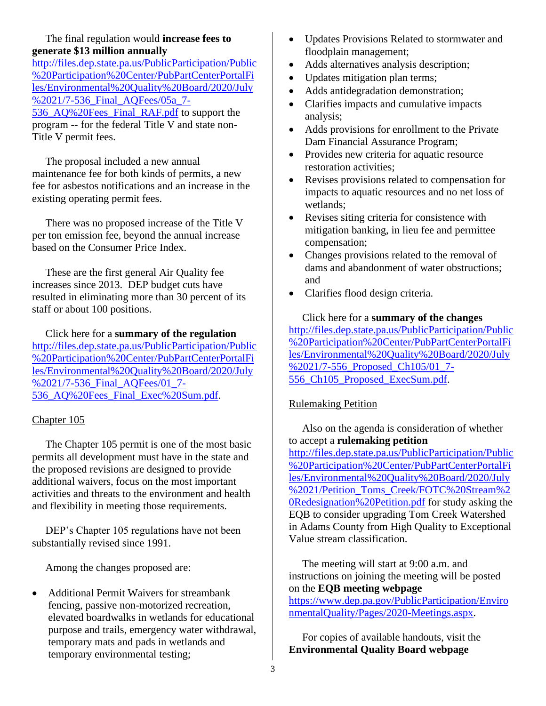#### The final regulation would **increase fees to generate \$13 million annually**

[http://files.dep.state.pa.us/PublicParticipation/Public](http://files.dep.state.pa.us/PublicParticipation/Public%20Participation%20Center/PubPartCenterPortalFiles/Environmental%20Quality%20Board/2020/July%2021/7-536_Final_AQFees/05a_7-536_AQ%20Fees_Final_RAF.pdf) [%20Participation%20Center/PubPartCenterPortalFi](http://files.dep.state.pa.us/PublicParticipation/Public%20Participation%20Center/PubPartCenterPortalFiles/Environmental%20Quality%20Board/2020/July%2021/7-536_Final_AQFees/05a_7-536_AQ%20Fees_Final_RAF.pdf) [les/Environmental%20Quality%20Board/2020/July](http://files.dep.state.pa.us/PublicParticipation/Public%20Participation%20Center/PubPartCenterPortalFiles/Environmental%20Quality%20Board/2020/July%2021/7-536_Final_AQFees/05a_7-536_AQ%20Fees_Final_RAF.pdf) [%2021/7-536\\_Final\\_AQFees/05a\\_7-](http://files.dep.state.pa.us/PublicParticipation/Public%20Participation%20Center/PubPartCenterPortalFiles/Environmental%20Quality%20Board/2020/July%2021/7-536_Final_AQFees/05a_7-536_AQ%20Fees_Final_RAF.pdf) [536\\_AQ%20Fees\\_Final\\_RAF.pdf](http://files.dep.state.pa.us/PublicParticipation/Public%20Participation%20Center/PubPartCenterPortalFiles/Environmental%20Quality%20Board/2020/July%2021/7-536_Final_AQFees/05a_7-536_AQ%20Fees_Final_RAF.pdf) to support the program -- for the federal Title V and state non-Title V permit fees.

 The proposal included a new annual maintenance fee for both kinds of permits, a new fee for asbestos notifications and an increase in the existing operating permit fees.

 There was no proposed increase of the Title V per ton emission fee, beyond the annual increase based on the Consumer Price Index.

 These are the first general Air Quality fee increases since 2013. DEP budget cuts have resulted in eliminating more than 30 percent of its staff or about 100 positions.

 Click here for a **summary of the regulation** [http://files.dep.state.pa.us/PublicParticipation/Public](http://files.dep.state.pa.us/PublicParticipation/Public%20Participation%20Center/PubPartCenterPortalFiles/Environmental%20Quality%20Board/2020/July%2021/7-536_Final_AQFees/01_7-536_AQ%20Fees_Final_Exec%20Sum.pdf) [%20Participation%20Center/PubPartCenterPortalFi](http://files.dep.state.pa.us/PublicParticipation/Public%20Participation%20Center/PubPartCenterPortalFiles/Environmental%20Quality%20Board/2020/July%2021/7-536_Final_AQFees/01_7-536_AQ%20Fees_Final_Exec%20Sum.pdf) [les/Environmental%20Quality%20Board/2020/July](http://files.dep.state.pa.us/PublicParticipation/Public%20Participation%20Center/PubPartCenterPortalFiles/Environmental%20Quality%20Board/2020/July%2021/7-536_Final_AQFees/01_7-536_AQ%20Fees_Final_Exec%20Sum.pdf) [%2021/7-536\\_Final\\_AQFees/01\\_7-](http://files.dep.state.pa.us/PublicParticipation/Public%20Participation%20Center/PubPartCenterPortalFiles/Environmental%20Quality%20Board/2020/July%2021/7-536_Final_AQFees/01_7-536_AQ%20Fees_Final_Exec%20Sum.pdf) [536\\_AQ%20Fees\\_Final\\_Exec%20Sum.pdf.](http://files.dep.state.pa.us/PublicParticipation/Public%20Participation%20Center/PubPartCenterPortalFiles/Environmental%20Quality%20Board/2020/July%2021/7-536_Final_AQFees/01_7-536_AQ%20Fees_Final_Exec%20Sum.pdf)

#### Chapter 105

 The Chapter 105 permit is one of the most basic permits all development must have in the state and the proposed revisions are designed to provide additional waivers, focus on the most important activities and threats to the environment and health and flexibility in meeting those requirements.

 DEP's Chapter 105 regulations have not been substantially revised since 1991.

Among the changes proposed are:

• Additional Permit Waivers for streambank fencing, passive non-motorized recreation, elevated boardwalks in wetlands for educational purpose and trails, emergency water withdrawal, temporary mats and pads in wetlands and temporary environmental testing;

- Updates Provisions Related to stormwater and floodplain management;
- Adds alternatives analysis description;
- Updates mitigation plan terms;
- Adds antidegradation demonstration;
- Clarifies impacts and cumulative impacts analysis;
- Adds provisions for enrollment to the Private Dam Financial Assurance Program;
- Provides new criteria for aquatic resource restoration activities;
- Revises provisions related to compensation for impacts to aquatic resources and no net loss of wetlands;
- Revises siting criteria for consistence with mitigation banking, in lieu fee and permittee compensation;
- Changes provisions related to the removal of dams and abandonment of water obstructions; and
- Clarifies flood design criteria.

 Click here for a **summary of the changes** [http://files.dep.state.pa.us/PublicParticipation/Public](http://files.dep.state.pa.us/PublicParticipation/Public%20Participation%20Center/PubPartCenterPortalFiles/Environmental%20Quality%20Board/2020/July%2021/7-556_Proposed_Ch105/01_7-556_Ch105_Proposed_ExecSum.pdf) [%20Participation%20Center/PubPartCenterPortalFi](http://files.dep.state.pa.us/PublicParticipation/Public%20Participation%20Center/PubPartCenterPortalFiles/Environmental%20Quality%20Board/2020/July%2021/7-556_Proposed_Ch105/01_7-556_Ch105_Proposed_ExecSum.pdf) [les/Environmental%20Quality%20Board/2020/July](http://files.dep.state.pa.us/PublicParticipation/Public%20Participation%20Center/PubPartCenterPortalFiles/Environmental%20Quality%20Board/2020/July%2021/7-556_Proposed_Ch105/01_7-556_Ch105_Proposed_ExecSum.pdf) [%2021/7-556\\_Proposed\\_Ch105/01\\_7-](http://files.dep.state.pa.us/PublicParticipation/Public%20Participation%20Center/PubPartCenterPortalFiles/Environmental%20Quality%20Board/2020/July%2021/7-556_Proposed_Ch105/01_7-556_Ch105_Proposed_ExecSum.pdf) [556\\_Ch105\\_Proposed\\_ExecSum.pdf.](http://files.dep.state.pa.us/PublicParticipation/Public%20Participation%20Center/PubPartCenterPortalFiles/Environmental%20Quality%20Board/2020/July%2021/7-556_Proposed_Ch105/01_7-556_Ch105_Proposed_ExecSum.pdf)

#### Rulemaking Petition

 Also on the agenda is consideration of whether to accept a **rulemaking petition** [http://files.dep.state.pa.us/PublicParticipation/Public](http://files.dep.state.pa.us/PublicParticipation/Public%20Participation%20Center/PubPartCenterPortalFiles/Environmental%20Quality%20Board/2020/July%2021/Petition_Toms_Creek/FOTC%20Stream%20Redesignation%20Petition.pdf) [%20Participation%20Center/PubPartCenterPortalFi](http://files.dep.state.pa.us/PublicParticipation/Public%20Participation%20Center/PubPartCenterPortalFiles/Environmental%20Quality%20Board/2020/July%2021/Petition_Toms_Creek/FOTC%20Stream%20Redesignation%20Petition.pdf) [les/Environmental%20Quality%20Board/2020/July](http://files.dep.state.pa.us/PublicParticipation/Public%20Participation%20Center/PubPartCenterPortalFiles/Environmental%20Quality%20Board/2020/July%2021/Petition_Toms_Creek/FOTC%20Stream%20Redesignation%20Petition.pdf) [%2021/Petition\\_Toms\\_Creek/FOTC%20Stream%2](http://files.dep.state.pa.us/PublicParticipation/Public%20Participation%20Center/PubPartCenterPortalFiles/Environmental%20Quality%20Board/2020/July%2021/Petition_Toms_Creek/FOTC%20Stream%20Redesignation%20Petition.pdf) [0Redesignation%20Petition.pdf](http://files.dep.state.pa.us/PublicParticipation/Public%20Participation%20Center/PubPartCenterPortalFiles/Environmental%20Quality%20Board/2020/July%2021/Petition_Toms_Creek/FOTC%20Stream%20Redesignation%20Petition.pdf) for study asking the EQB to consider upgrading Tom Creek Watershed in Adams County from High Quality to Exceptional Value stream classification.

 The meeting will start at 9:00 a.m. and instructions on joining the meeting will be posted on the **EQB meeting webpage**

[https://www.dep.pa.gov/PublicParticipation/Enviro](https://www.dep.pa.gov/PublicParticipation/EnvironmentalQuality/Pages/2020-Meetings.aspx) [nmentalQuality/Pages/2020-Meetings.aspx.](https://www.dep.pa.gov/PublicParticipation/EnvironmentalQuality/Pages/2020-Meetings.aspx)

 For copies of available handouts, visit the **Environmental Quality Board webpage**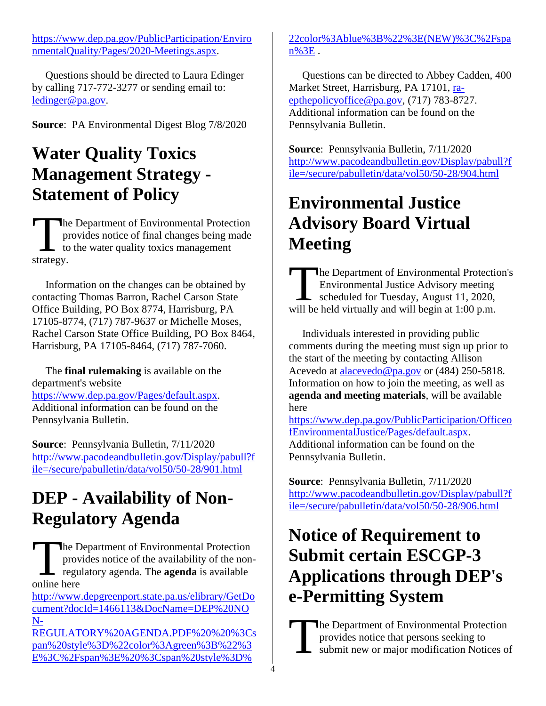[https://www.dep.pa.gov/PublicParticipation/Enviro](https://www.dep.pa.gov/PublicParticipation/EnvironmentalQuality/Pages/2020-Meetings.aspx) [nmentalQuality/Pages/2020-Meetings.aspx.](https://www.dep.pa.gov/PublicParticipation/EnvironmentalQuality/Pages/2020-Meetings.aspx)

 Questions should be directed to Laura Edinger by calling 717-772-3277 or sending email to: [ledinger@pa.gov.](mailto:ledinger@pa.gov)

**Source**: PA Environmental Digest Blog 7/8/2020

## **Water Quality Toxics Management Strategy - Statement of Policy**

he Department of Environmental Protection provides notice of final changes being made to the water quality toxics management The<br>
pr<br>
to<br>
strategy.

 Information on the changes can be obtained by contacting Thomas Barron, Rachel Carson State Office Building, PO Box 8774, Harrisburg, PA 17105-8774, (717) 787-9637 or Michelle Moses, Rachel Carson State Office Building, PO Box 8464, Harrisburg, PA 17105-8464, (717) 787-7060.

 The **final rulemaking** is available on the department's website [https://www.dep.pa.gov/Pages/default.aspx.](https://www.dep.pa.gov/Pages/default.aspx) Additional information can be found on the Pennsylvania Bulletin.

**Source**: Pennsylvania Bulletin, 7/11/2020 [http://www.pacodeandbulletin.gov/Display/pabull?f](http://www.pacodeandbulletin.gov/Display/pabull?file=/secure/pabulletin/data/vol50/50-28/901.html) [ile=/secure/pabulletin/data/vol50/50-28/901.html](http://www.pacodeandbulletin.gov/Display/pabull?file=/secure/pabulletin/data/vol50/50-28/901.html) 

## **DEP - Availability of Non-Regulatory Agenda**

he Department of Environmental Protection provides notice of the availability of the nonregulatory agenda. The **agenda** is available The D<br>prove regularities

[http://www.depgreenport.state.pa.us/elibrary/GetDo](http://www.depgreenport.state.pa.us/elibrary/GetDocument?docId=1466113&DocName=DEP%20NON-REGULATORY%20AGENDA.PDF%20%20%3Cspan%20style%3D%22color%3Agreen%3B%22%3E%3C%2Fspan%3E%20%3Cspan%20style%3D%22color%3Ablue%3B%22%3E(NEW)%3C%2Fspan%3E) [cument?docId=1466113&DocName=DEP%20NO](http://www.depgreenport.state.pa.us/elibrary/GetDocument?docId=1466113&DocName=DEP%20NON-REGULATORY%20AGENDA.PDF%20%20%3Cspan%20style%3D%22color%3Agreen%3B%22%3E%3C%2Fspan%3E%20%3Cspan%20style%3D%22color%3Ablue%3B%22%3E(NEW)%3C%2Fspan%3E) [N-](http://www.depgreenport.state.pa.us/elibrary/GetDocument?docId=1466113&DocName=DEP%20NON-REGULATORY%20AGENDA.PDF%20%20%3Cspan%20style%3D%22color%3Agreen%3B%22%3E%3C%2Fspan%3E%20%3Cspan%20style%3D%22color%3Ablue%3B%22%3E(NEW)%3C%2Fspan%3E)

[REGULATORY%20AGENDA.PDF%20%20%3Cs](http://www.depgreenport.state.pa.us/elibrary/GetDocument?docId=1466113&DocName=DEP%20NON-REGULATORY%20AGENDA.PDF%20%20%3Cspan%20style%3D%22color%3Agreen%3B%22%3E%3C%2Fspan%3E%20%3Cspan%20style%3D%22color%3Ablue%3B%22%3E(NEW)%3C%2Fspan%3E) [pan%20style%3D%22color%3Agreen%3B%22%3](http://www.depgreenport.state.pa.us/elibrary/GetDocument?docId=1466113&DocName=DEP%20NON-REGULATORY%20AGENDA.PDF%20%20%3Cspan%20style%3D%22color%3Agreen%3B%22%3E%3C%2Fspan%3E%20%3Cspan%20style%3D%22color%3Ablue%3B%22%3E(NEW)%3C%2Fspan%3E) [E%3C%2Fspan%3E%20%3Cspan%20style%3D%](http://www.depgreenport.state.pa.us/elibrary/GetDocument?docId=1466113&DocName=DEP%20NON-REGULATORY%20AGENDA.PDF%20%20%3Cspan%20style%3D%22color%3Agreen%3B%22%3E%3C%2Fspan%3E%20%3Cspan%20style%3D%22color%3Ablue%3B%22%3E(NEW)%3C%2Fspan%3E)

[22color%3Ablue%3B%22%3E\(NEW\)%3C%2Fspa](http://www.depgreenport.state.pa.us/elibrary/GetDocument?docId=1466113&DocName=DEP%20NON-REGULATORY%20AGENDA.PDF%20%20%3Cspan%20style%3D%22color%3Agreen%3B%22%3E%3C%2Fspan%3E%20%3Cspan%20style%3D%22color%3Ablue%3B%22%3E(NEW)%3C%2Fspan%3E) [n%3E](http://www.depgreenport.state.pa.us/elibrary/GetDocument?docId=1466113&DocName=DEP%20NON-REGULATORY%20AGENDA.PDF%20%20%3Cspan%20style%3D%22color%3Agreen%3B%22%3E%3C%2Fspan%3E%20%3Cspan%20style%3D%22color%3Ablue%3B%22%3E(NEW)%3C%2Fspan%3E) .

 Questions can be directed to Abbey Cadden, 400 Market Street, Harrisburg, PA 17101, [ra](mailto:ra-epthepolicyoffice@pa.gov)[epthepolicyoffice@pa.gov,](mailto:ra-epthepolicyoffice@pa.gov) (717) 783-8727. Additional information can be found on the Pennsylvania Bulletin.

**Source**: Pennsylvania Bulletin, 7/11/2020 [http://www.pacodeandbulletin.gov/Display/pabull?f](http://www.pacodeandbulletin.gov/Display/pabull?file=/secure/pabulletin/data/vol50/50-28/904.html) [ile=/secure/pabulletin/data/vol50/50-28/904.html](http://www.pacodeandbulletin.gov/Display/pabull?file=/secure/pabulletin/data/vol50/50-28/904.html) 

## **Environmental Justice Advisory Board Virtual Meeting**

he Department of Environmental Protection's Environmental Justice Advisory meeting Scheduled for Tuesday, August 11, 2020, The Department of Environmental Protection<br>Environmental Justice Advisory meeting<br>scheduled for Tuesday, August 11, 2020,<br>will be held virtually and will begin at 1:00 p.m.

 Individuals interested in providing public comments during the meeting must sign up prior to the start of the meeting by contacting Allison Acevedo at [alacevedo@pa.gov](mailto:alacevedo@pa.gov) or (484) 250-5818. Information on how to join the meeting, as well as **agenda and meeting materials**, will be available here

[https://www.dep.pa.gov/PublicParticipation/Officeo](https://www.dep.pa.gov/PublicParticipation/OfficeofEnvironmentalJustice/Pages/default.aspx) [fEnvironmentalJustice/Pages/default.aspx.](https://www.dep.pa.gov/PublicParticipation/OfficeofEnvironmentalJustice/Pages/default.aspx) Additional information can be found on the Pennsylvania Bulletin.

**Source**: Pennsylvania Bulletin, 7/11/2020 [http://www.pacodeandbulletin.gov/Display/pabull?f](http://www.pacodeandbulletin.gov/Display/pabull?file=/secure/pabulletin/data/vol50/50-28/906.html) [ile=/secure/pabulletin/data/vol50/50-28/906.html](http://www.pacodeandbulletin.gov/Display/pabull?file=/secure/pabulletin/data/vol50/50-28/906.html) 

## **Notice of Requirement to Submit certain ESCGP-3 Applications through DEP's e-Permitting System**

he Department of Environmental Protection provides notice that persons seeking to submit new or major modification Notices of T